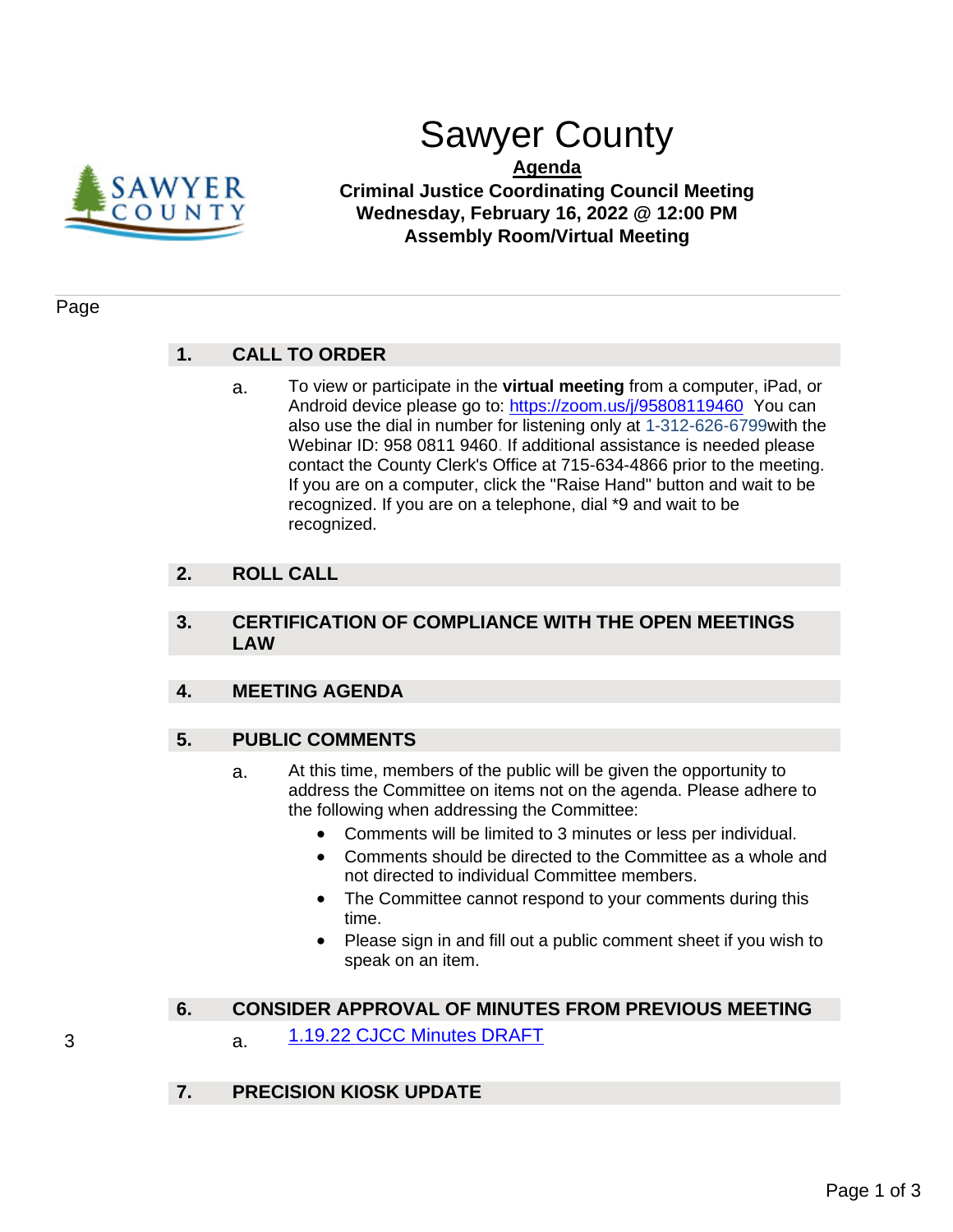

# Sawyer County

## **Agenda Criminal Justice Coordinating Council Meeting Wednesday, February 16, 2022 @ 12:00 PM Assembly Room/Virtual Meeting**

#### Page

# **1. CALL TO ORDER**

a. To view or participate in the **virtual meeting** from a computer, iPad, or Android device please go to: [https://zoom.us/j/95808119460](https://us02web.zoom.us/j/83970250533?pwd=RG9ZUy9vWWNOcFI5T2pCOEJzMjR0QT09) You can also use the dial in number for listening only at 1-312-626-6799with the Webinar ID: 958 0811 9460. If additional assistance is needed please contact the County Clerk's Office at 715-634-4866 prior to the meeting. If you are on a computer, click the "Raise Hand" button and wait to be recognized. If you are on a telephone, dial \*9 and wait to be recognized.

# **2. ROLL CALL**

### **3. CERTIFICATION OF COMPLIANCE WITH THE OPEN MEETINGS LAW**

# **4. MEETING AGENDA**

# **5. PUBLIC COMMENTS**

- a. At this time, members of the public will be given the opportunity to address the Committee on items not on the agenda. Please adhere to the following when addressing the Committee:
	- Comments will be limited to 3 minutes or less per individual.
	- Comments should be directed to the Committee as a whole and not directed to individual Committee members.
	- The Committee cannot respond to your comments during this time.
	- Please sign in and fill out a public comment sheet if you wish to speak on an item.

### **6. CONSIDER APPROVAL OF MINUTES FROM PREVIOUS MEETING**

- 3 a. [1.19.22 CJCC Minutes DRAFT](#page-2-0)
	- **7. PRECISION KIOSK UPDATE**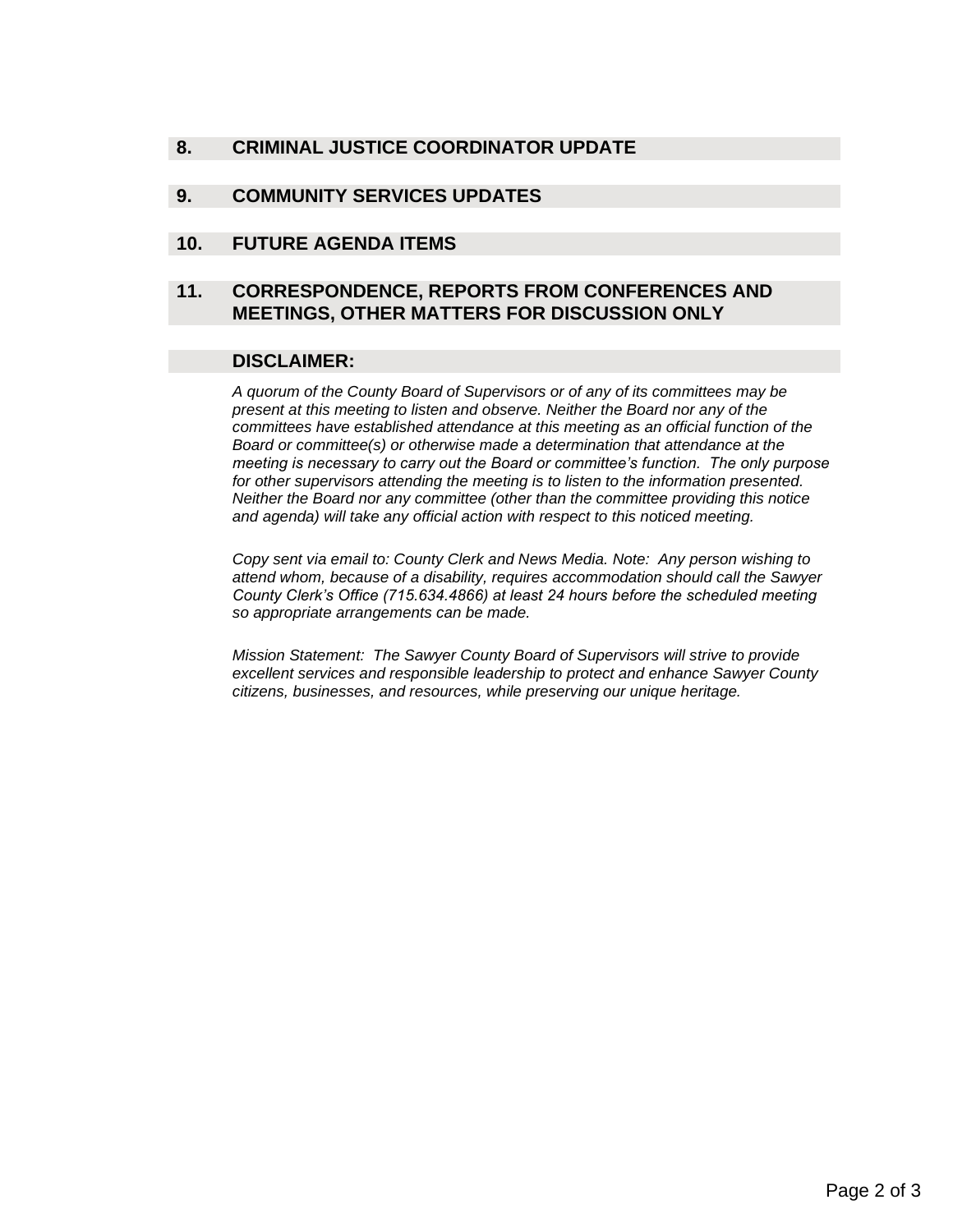## **8. CRIMINAL JUSTICE COORDINATOR UPDATE**

#### **9. COMMUNITY SERVICES UPDATES**

#### **10. FUTURE AGENDA ITEMS**

#### **11. CORRESPONDENCE, REPORTS FROM CONFERENCES AND MEETINGS, OTHER MATTERS FOR DISCUSSION ONLY**

#### **DISCLAIMER:**

*A quorum of the County Board of Supervisors or of any of its committees may be present at this meeting to listen and observe. Neither the Board nor any of the committees have established attendance at this meeting as an official function of the Board or committee(s) or otherwise made a determination that attendance at the meeting is necessary to carry out the Board or committee's function. The only purpose for other supervisors attending the meeting is to listen to the information presented. Neither the Board nor any committee (other than the committee providing this notice and agenda) will take any official action with respect to this noticed meeting.*

*Copy sent via email to: County Clerk and News Media. Note: Any person wishing to attend whom, because of a disability, requires accommodation should call the Sawyer County Clerk's Office (715.634.4866) at least 24 hours before the scheduled meeting so appropriate arrangements can be made.* 

*Mission Statement: The Sawyer County Board of Supervisors will strive to provide excellent services and responsible leadership to protect and enhance Sawyer County citizens, businesses, and resources, while preserving our unique heritage.*